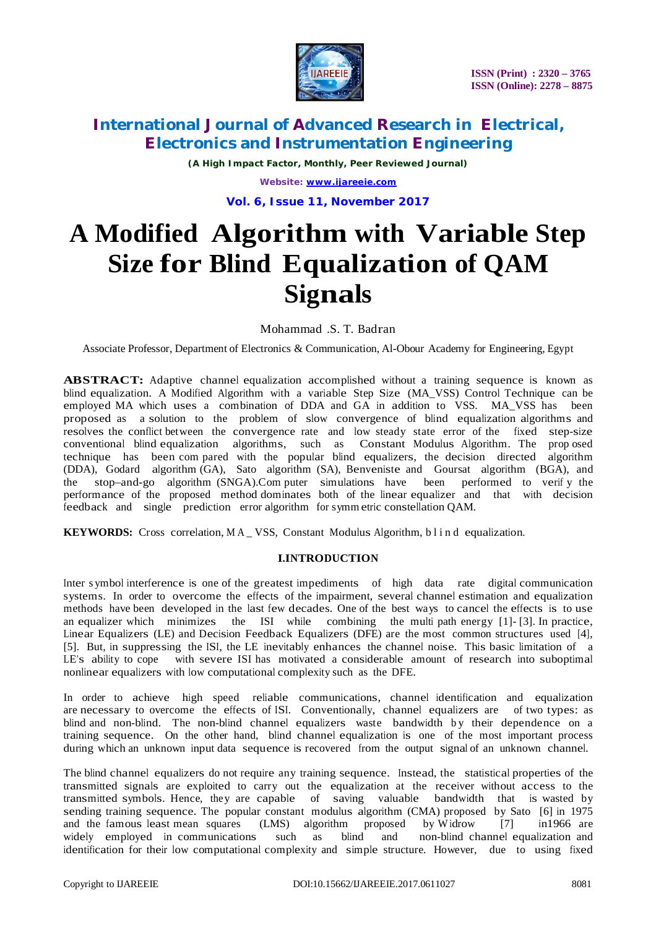

*(A High Impact Factor, Monthly, Peer Reviewed Journal)*

*Website: [www.ijareeie.com](http://www.ijareeie.com)* **Vol. 6, Issue 11, November 2017**

# **A Modified Algorithm with Variable Step Size for Blind Equalization of QAM Signals**

Mohammad .S. T. Badran

Associate Professor, Department of Electronics & Communication, Al-Obour Academy for Engineering, Egypt

**ABSTRACT:** Adaptive channel equalization accomplished without a training sequence is known as blind equalization. A Modified Algorithm with a variable Step Size (MA\_VSS) Control Technique can be employed MA which uses a combination of DDA and GA in addition to VSS. MA\_VSS has been proposed as a solution to the problem of slow convergence of blind equalization algorithms and resolves the conflict between the convergence rate and low steady state error of the fixed step-size conventional blind equalization algorithms, such as Constant Modulus Algorithm. The prop osed technique has been com pared with the popular blind equalizers, the decision directed algorithm (DDA), Godard algorithm (GA), Sato algorithm (SA), Benveniste and Goursat algorithm (BGA), and the stop–and-go algorithm (SNGA).Com puter simulations have been performed to verif y the performance of the proposed method dominates both of the linear equalizer and that with decision feedback and single prediction error algorithm for symm etric constellation QAM.

**KEYWORDS:** Cross correlation, MA \_ VSS, Constant Modulus Algorithm, b l i n d equalization.

### **I.INTRODUCTION**

Inter s ymbol interference is one of the greatest impediments of high data rate digital communication systems. In order to overcome the effects of the impairment, several channel estimation and equalization methods have been developed in the last few decades. One of the best ways to cancel the effects is to use an equalizer which minimizes the ISI while combining the multi path energy [1]- [3]. In practice, Linear Equalizers (LE) and Decision Feedback Equalizers (DFE) are the most common structures used [4], [5]. But, in suppressing the ISI, the LE inevitably enhances the channel noise. This basic limitation of a LE's ability to cope with severe ISI has motivated a considerable amount of research into suboptimal nonlinear equalizers with low computational complexity such as the DFE.

In order to achieve high speed reliable communications, channel identification and equalization are necessary to overcome the effects of ISI. Conventionally, channel equalizers are of two types: as blind and non-blind. The non-blind channel equalizers waste bandwidth by their dependence on a training sequence. On the other hand, blind channel equalization is one of the most important process during which an unknown input data sequence is recovered from the output signal of an unknown channel.

The blind channel equalizers do not require any training sequence. Instead, the statistical properties of the transmitted signals are exploited to carry out the equalization at the receiver without access to the transmitted symbols. Hence, they are capable of saving valuable bandwidth that is wasted by sending training sequence. The popular constant modulus algorithm (CMA) proposed by Sato [6] in 1975 and the famous least mean squares (LMS) algorithm proposed by Widrow [7] in 1966 are and the famous least mean squares (LMS) algorithm proposed by Widrow [7] widely employed in communications such as blind and non-blind channel e widely employed in communications such as blind and non-blind channel equalization and identification for their low computational complexity and simple structure. However, due to using fixed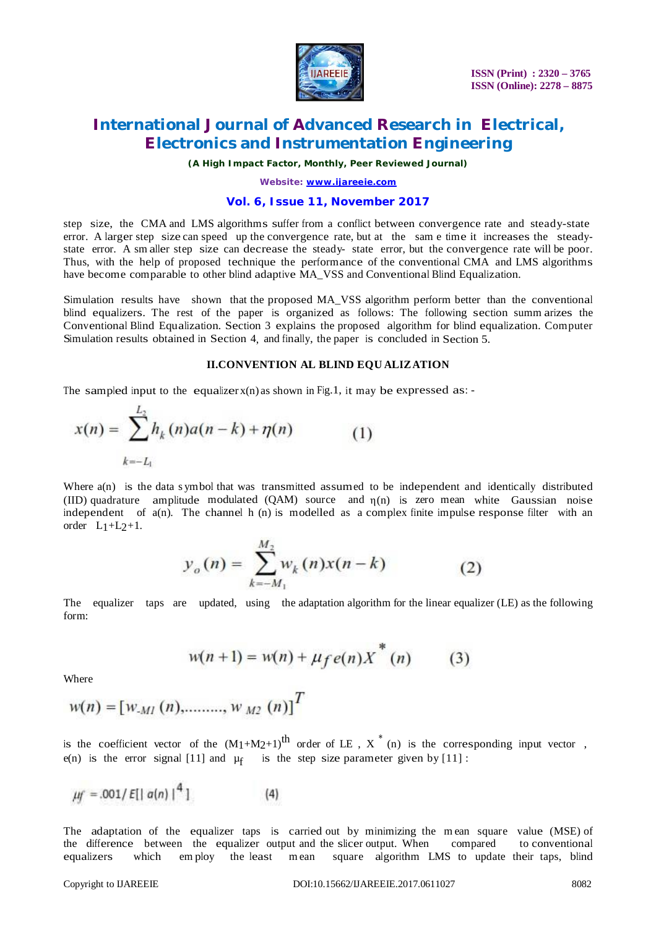

# **International Journal of Advanced Research in Electrical, Electronics and Instrumentation Engineering**

*(A High Impact Factor, Monthly, Peer Reviewed Journal)*

*Website: [www.ijareeie.com](http://www.ijareeie.com)*

### **Vol. 6, Issue 11, November 2017**

step size, the CMA and LMS algorithms suffer from a conflict between convergence rate and steady-state error. A larger step size can speed up the convergence rate, but at the sam e time it increases the steadystate error. A sm aller step size can decrease the steady- state error, but the convergence rate will be poor. Thus, with the help of proposed technique the performance of the conventional CMA and LMS algorithms have become comparable to other blind adaptive MA\_VSS and Conventional Blind Equalization.

Simulation results have shown that the proposed MA\_VSS algorithm perform better than the conventional blind equalizers. The rest of the paper is organized as follows: The following section summ arizes the Conventional Blind Equalization. Section 3 explains the proposed algorithm for blind equalization. Computer Simulation results obtained in Section 4, and finally, the paper is concluded in Section 5.

#### **II.CONVENTION AL BLIND EQU ALIZATION**

The sampled input to the equalizer  $x(n)$  as shown in Fig.1, it may be expressed as:

$$
x(n) = \sum_{k=-L_1}^{L_2} h_k(n)a(n-k) + \eta(n) \tag{1}
$$

Where  $a(n)$  is the data s ymbol that was transmitted assumed to be independent and identically distributed (IID) quadrature amplitude modulated (QAM) source and  $\eta(n)$  is zero mean white Gaussian noise independent of a(n). The channel h (n) is modelled as a complex finite impulse response filter with an order  $L_1+L_2+1$ .

$$
y_o(n) = \sum_{k=-M_1}^{M_2} w_k(n)x(n-k)
$$
 (2)

The equalizer taps are updated, using the adaptation algorithm for the linear equalizer (LE) as the following form:

$$
w(n+1) = w(n) + \mu_f e(n) \chi^*(n) \qquad (3)
$$

**Where** 

$$
w(n) = [w_{\text{MI}}(n), \dots, w_{\text{M2}}(n)]^T
$$

is the coefficient vector of the  $(M_1+M_2+1)$ <sup>th</sup> order of LE,  $X^*$  (n) is the corresponding input vector, e(n) is the error signal [11] and  $\mu$ <sub>f</sub> is the step size parameter given by [11] :

$$
\mu f = .001 / E[|a(n)|^4]
$$
 (4)

The adaptation of the equalizer taps is carried out by minimizing the m ean square value (MSE) of the difference between the equalizer output and the slicer output. When compared to conventional equalizers which employ the least mean square algorithm LMS to update their taps, blind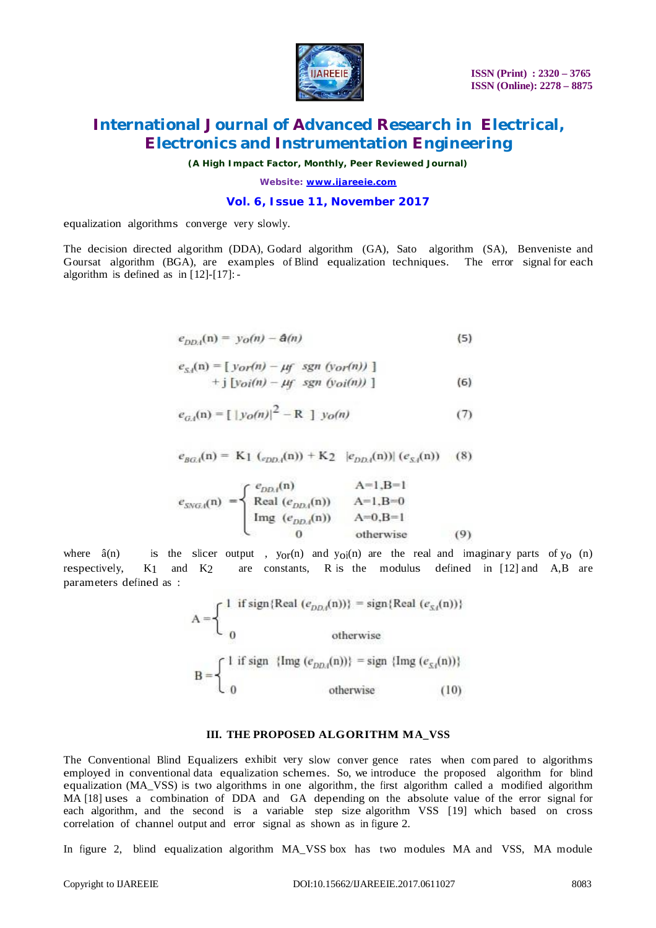

# **International Journal of Advanced Research in Electrical, Electronics and Instrumentation Engineering**

*(A High Impact Factor, Monthly, Peer Reviewed Journal)*

*Website: [www.ijareeie.com](http://www.ijareeie.com)*

#### **Vol. 6, Issue 11, November 2017**

equalization algorithms converge very slowly.

The decision directed algorithm (DDA), Godard algorithm (GA), Sato algorithm (SA), Benveniste and Goursat algorithm (BGA), are examples of Blind equalization techniques. The error signal for each algorithm is defined as in [12]-[17]: -

$$
e_{DDA}(\mathbf{n}) = y_O(n) - \mathbf{A}(n) \tag{5}
$$

$$
e_{S,i}(n) = [y_{OI}(n) - \mu f \ sgn \ (y_{OI}(n)) ]
$$
  
+ j [y\_{OI}(n) - \mu f \ sgn \ (y\_{OI}(n)) ] \t(6)

$$
e_{G,4}(n) = [\ |y_O(n)|^2 - R \ ] \ y_O(n) \tag{7}
$$

$$
e_{BG_4}(n) = K_1 (e_{DD_4}(n)) + K_2 |e_{DD_4}(n)| (e_{S_4}(n))
$$
 (8)

$$
e_{SNGA}(n) = \begin{cases} e_{DDA}(n) & A=1, B=1\\ \text{Real } (e_{DDA}(n)) & A=1, B=0\\ \text{Img } (e_{DDA}(n)) & A=0, B=1\\ 0 & \text{otherwise} \end{cases}
$$
(9)

where  $\hat{a}(n)$  is the slicer output,  $y_{0}r(n)$  and  $y_{0}i(n)$  are the real and imaginary parts of  $y_0$  (n) respectively,  $K_1$  and  $K_2$  are constants, R is the modulus defined in [12] and A,B are parameters defined as :

$$
A = \begin{cases} 1 & \text{if sign} \{ Real (e_{DD,i}(n)) \} = sign \{ Real (e_{S,i}(n)) \} \\ 0 & \text{otherwise} \end{cases}
$$
  

$$
B = \begin{cases} 1 & \text{if sign} \{ Imp (e_{DD,i}(n)) \} = sign \{ Imp (e_{S,i}(n)) \} \\ 0 & \text{otherwise} \end{cases}
$$
  
(10)

#### **III. THE PROPOSED ALGORITHM MA\_VSS**

The Conventional Blind Equalizers exhibit very slow conver gence rates when com pared to algorithms employed in conventional data equalization schemes. So, we introduce the proposed algorithm for blind equalization (MA\_VSS) is two algorithms in one algorithm, the first algorithm called a modified algorithm MA [18] uses a combination of DDA and GA depending on the absolute value of the error signal for each algorithm, and the second is a variable step size algorithm VSS [19] which based on cross correlation of channel output and error signal as shown as in figure 2.

In figure 2, blind equalization algorithm MA\_VSS box has two modules MA and VSS, MA module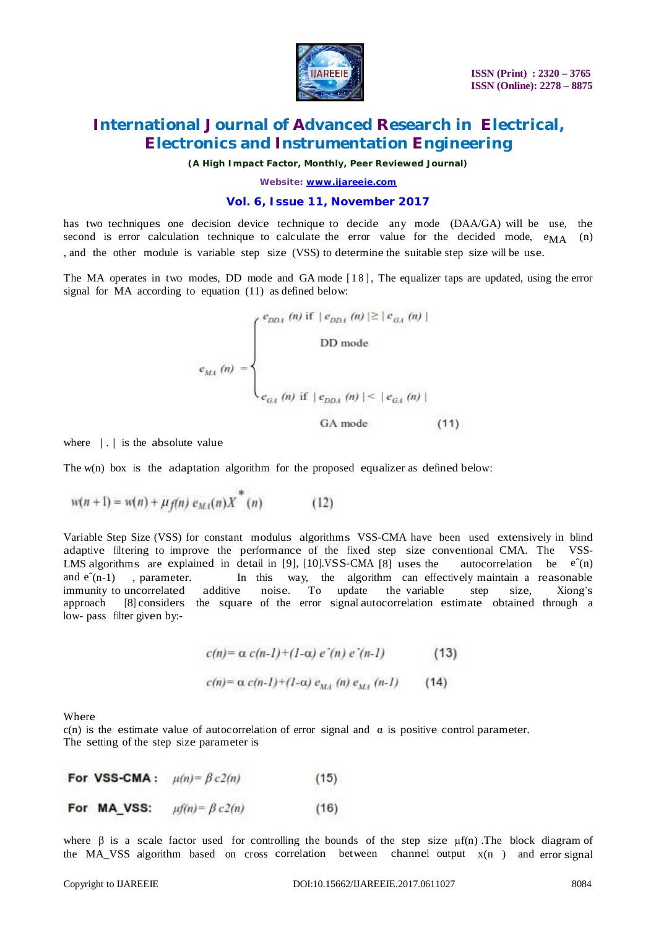

# **International Journal of Advanced Research in Electrical, Electronics and Instrumentation Engineering**

*(A High Impact Factor, Monthly, Peer Reviewed Journal)*

*Website: [www.ijareeie.com](http://www.ijareeie.com)*

#### **Vol. 6, Issue 11, November 2017**

has two techniques one decision device technique to decide any mode (DAA/GA) will be use, the second is error calculation technique to calculate the error value for the decided mode,  $e_{\text{MA}}$  (n) , and the other module is variable step size (VSS) to determine the suitable step size will be use.

The MA operates in two modes, DD mode and GA mode [18], The equalizer taps are updated, using the error signal for MA according to equation (11) as defined below:

$$
e_{M4} \ (n) = \begin{cases} e_{DD4} \ (n) \text{ if } \ |e_{DD4} \ (n) | \geq | e_{GA} \ (n) | \\ \text{DD mode} \\ e_{M4} \ (n) \text{ if } \ |e_{DD4} \ (n) | \leq | e_{GA} \ (n) | \\ \text{GA mode} \end{cases}
$$
 (11)

where  $| \cdot |$  is the absolute value

The w(n) box is the adaptation algorithm for the proposed equalizer as defined below:

$$
w(n + 1) = w(n) + \mu_f(n) e_{M,1}(n) X^*(n)
$$
 (12)

Variable Step Size (VSS) for constant modulus algorithms VSS-CMA have been used extensively in blind adaptive filtering to improve the performance of the fixed step size conventional CMA. The VSS-LMS algorithms are explained in detail in [9], [10].VSS-CMA [8] uses the autocorrelation be  $e^{\hat{}}(n)$ and  $e^{n-1}$ , parameter. In this way, the algorithm can effectively maintain a reasonable immunity to uncorrelated additive noise. To update the variable step size, Xiong's approach [8] considers the square of the error signal autocorrelation estimate obtained through a low- pass filter given by:-

$$
c(n) = \alpha c(n-1) + (1-\alpha) e^{n}(n) e^{n}(n-1)
$$
 (13)  

$$
c(n) = \alpha c(n-1) + (1-\alpha) e_{M+1}(n) e_{M+1}(n-1)
$$
 (14)

Where

c(n) is the estimate value of autocorrelation of error signal and  $\alpha$  is positive control parameter. The setting of the step size parameter is

|             | For VSS-CMA: $\mu(n) = \beta c2(n)$ | (15) |
|-------------|-------------------------------------|------|
| For MA VSS: | $\mu f(n) = \beta c2(n)$            | (16) |

where  $\beta$  is a scale factor used for controlling the bounds of the step size  $\mu f(n)$ . The block diagram of the MA\_VSS algorithm based on cross correlation between channel output x(n ) and error signal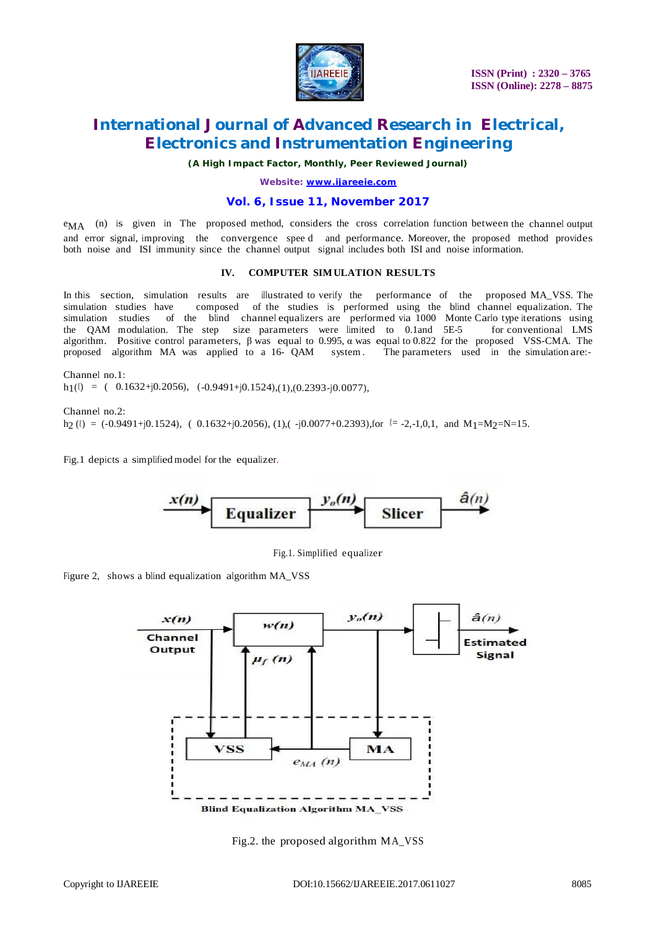

# **International Journal of Advanced Research in Electrical, Electronics and Instrumentation Engineering**

*(A High Impact Factor, Monthly, Peer Reviewed Journal)*

*Website: [www.ijareeie.com](http://www.ijareeie.com)*

#### **Vol. 6, Issue 11, November 2017**

eMA (n) is given in The proposed method, considers the cross correlation function between the channel output and error signal, improving the convergence spee d and performance. Moreover, the proposed method provides both noise and ISI immunity since the channel output signal includes both ISI and noise information.

#### **IV. COMPUTER SIMULATION RESULTS**

In this section, simulation results are illustrated to verify the performance of the proposed MA\_VSS. The simulation studies have composed of the studies is performed using the blind channel equalization. The simulation studies of the blind channel equalizers are performed via 1000 Monte Carlo type iterations using the QAM modulation. The step size parameters were limited to 0.1and 5E-5 for conventional LMS algorithm. Positive control parameters,  $\beta$  was equal to 0.995,  $\alpha$  was equal to 0.822 for the proposed VSS-CMA. The proposed algorithm MA was applied to a 16- QAM system . The parameters used in the simulation are:-

Channel no.1:  $h_1(\ell) = (0.1632+j0.2056), (-0.9491+j0.1524),(1),(0.2393-j0.0077),$ 

Channel no.2:  $h_2$  ( $\ell$ ) = (-0.9491+j0.1524), ( 0.1632+j0.2056), (1),( -j0.0077+0.2393),for  $\ell$  = -2,-1,0,1, and M1=M2=N=15.

Fig.1 depicts a simplified model for the equalizer.



Fig.1. Simplified equalizer

Figure 2, shows a blind equalization algorithm MA\_VSS



Fig.2. the proposed algorithm MA\_VSS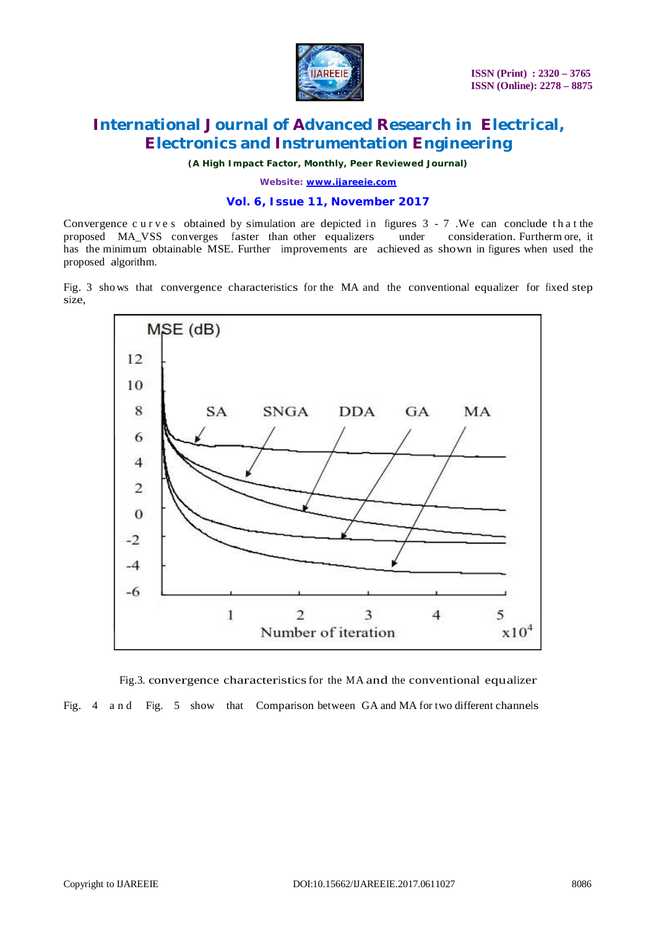

# **International Journal of Advanced Research in Electrical, Electronics and Instrumentation Engineering**

*(A High Impact Factor, Monthly, Peer Reviewed Journal)*

*Website: [www.ijareeie.com](http://www.ijareeie.com)*

### **Vol. 6, Issue 11, November 2017**

Convergence c u r v e s obtained by simulation are depicted in figures  $3 - 7$ . We can conclude that the proposed MA\_VSS converges faster than other equalizers under consideration. Furtherm ore, it proposed MA\_VSS converges faster than other equalizers under has the minimum obtainable MSE. Further improvements are achieved as shown in figures when used the proposed algorithm.

Fig. 3 shows that convergence characteristics for the MA and the conventional equalizer for fixed step size,



Fig.3. convergence characteristicsfor the MA and the conventional equalizer Fig. 4 a n d Fig. 5 show that Comparison between GA and MA for two different channels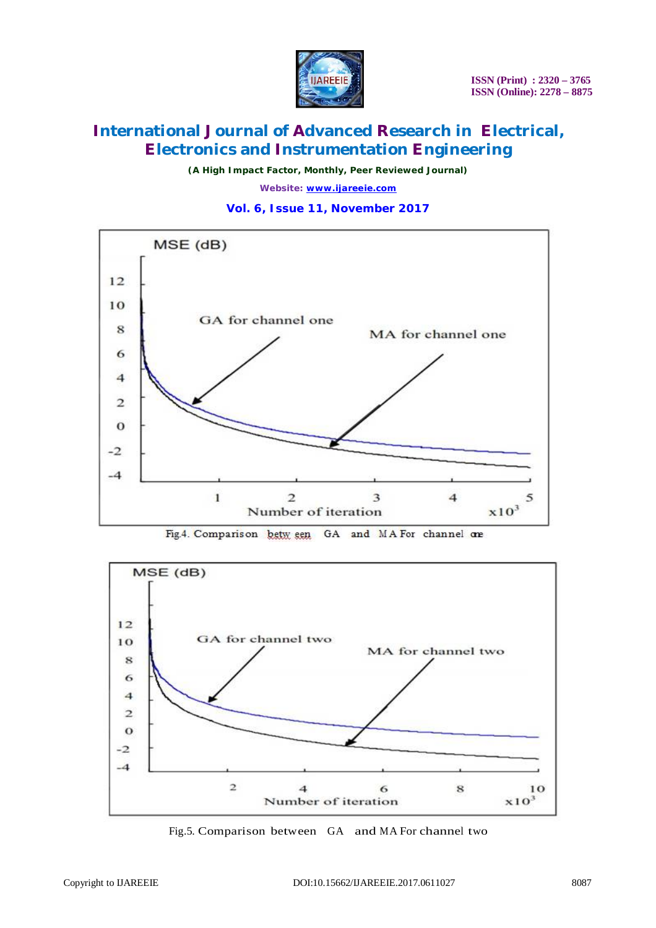

*(A High Impact Factor, Monthly, Peer Reviewed Journal)*

*Website: [www.ijareeie.com](http://www.ijareeie.com)*

### **Vol. 6, Issue 11, November 2017**







Fig.5. Comparison between GA and MA For channel two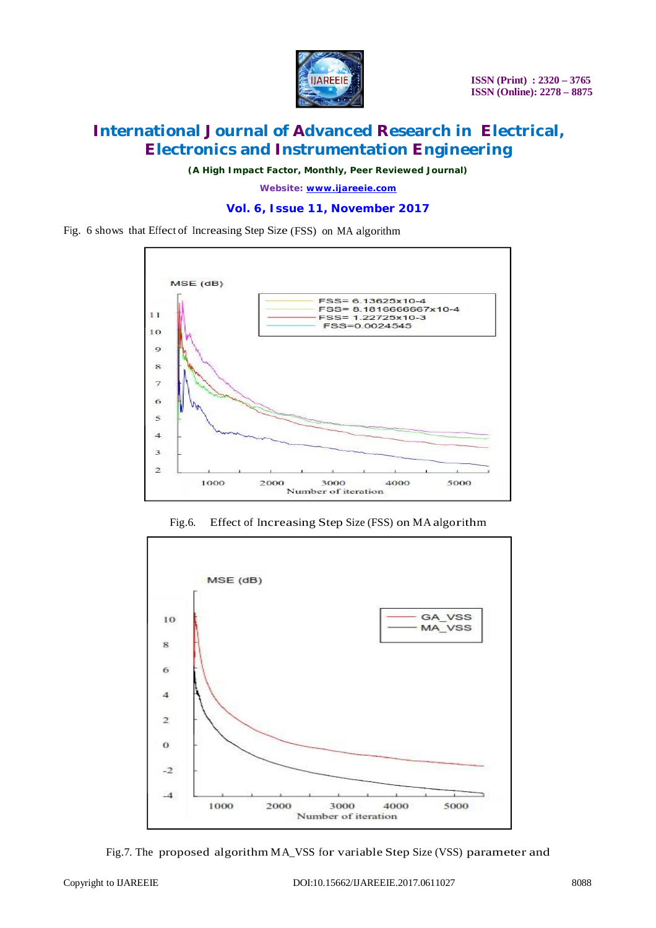

*(A High Impact Factor, Monthly, Peer Reviewed Journal)*

*Website: [www.ijareeie.com](http://www.ijareeie.com)*

### **Vol. 6, Issue 11, November 2017**

Fig. 6 shows that Effect of Increasing Step Size (FSS) on MA algorithm



Fig.6. Effect of Increasing Step Size (FSS) on MA algorithm